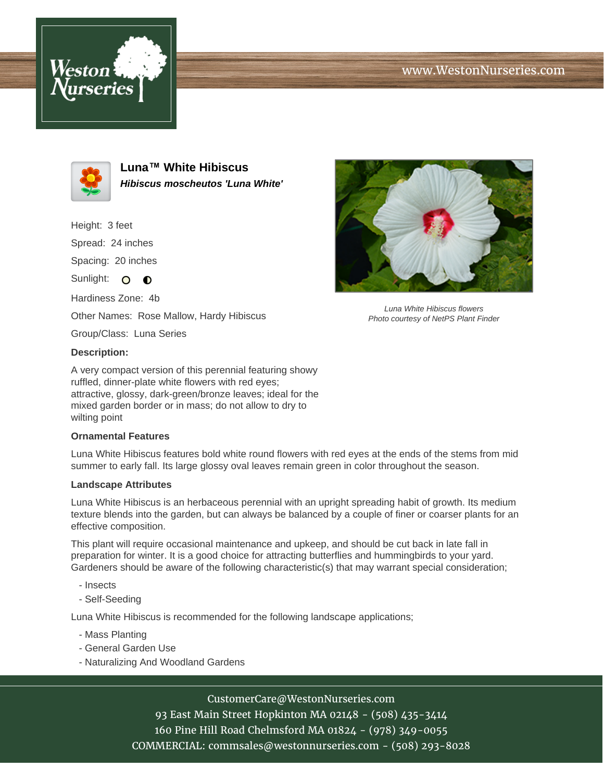# www.WestonNurseries.com





**Luna™ White Hibiscus Hibiscus moscheutos 'Luna White'**

Height: 3 feet Spread: 24 inches Spacing: 20 inches

Sunlight: O **O** 

Hardiness Zone: 4b Other Names: Rose Mallow, Hardy Hibiscus

Group/Class: Luna Series

### **Description:**

A very compact version of this perennial featuring showy ruffled, dinner-plate white flowers with red eyes; attractive, glossy, dark-green/bronze leaves; ideal for the mixed garden border or in mass; do not allow to dry to wilting point

### **Ornamental Features**

Luna White Hibiscus features bold white round flowers with red eyes at the ends of the stems from mid summer to early fall. Its large glossy oval leaves remain green in color throughout the season.

### **Landscape Attributes**

Luna White Hibiscus is an herbaceous perennial with an upright spreading habit of growth. Its medium texture blends into the garden, but can always be balanced by a couple of finer or coarser plants for an effective composition.

This plant will require occasional maintenance and upkeep, and should be cut back in late fall in preparation for winter. It is a good choice for attracting butterflies and hummingbirds to your yard. Gardeners should be aware of the following characteristic(s) that may warrant special consideration;

- Insects
- Self-Seeding

Luna White Hibiscus is recommended for the following landscape applications;

- Mass Planting
- General Garden Use
- Naturalizing And Woodland Gardens

## CustomerCare@WestonNurseries.com

93 East Main Street Hopkinton MA 02148 - (508) 435-3414 160 Pine Hill Road Chelmsford MA 01824 - (978) 349-0055 COMMERCIAL: commsales@westonnurseries.com - (508) 293-8028



Luna White Hibiscus flowers Photo courtesy of NetPS Plant Finder